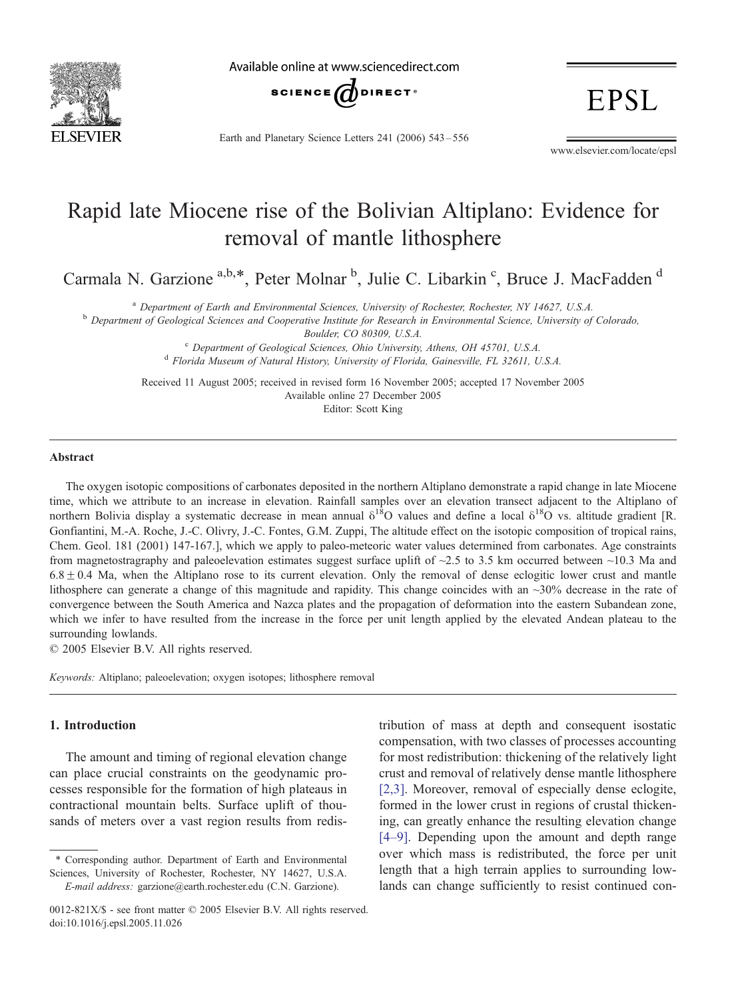

Available online at www.sciencedirect.com



Earth and Planetary Science Letters 241 (2006) 543 – 556

www.elsevier.com/locate/epsl

**EPSL** 

# Rapid late Miocene rise of the Bolivian Altiplano: Evidence for removal of mantle lithosphere

Carmala N. Garzione<sup>a,b,\*</sup>, Peter Molnar<sup>b</sup>, Julie C. Libarkin<sup>c</sup>, Bruce J. MacFadden<sup>d</sup>

<sup>a</sup> Department of Earth and Environmental Sciences, University of Rochester, Rochester, NY 14627, U.S.A.<br>b Department of Geological Sciences and Cooperative Institute for Research in Environmental Science, University of Co

Boulder, CO 80309, U.S.A.<br><sup>c</sup> Department of Geological Sciences, Ohio University, Athens, OH 45701, U.S.A. <sup>d</sup> Florida Museum of Natural History, University of Florida, Gainesville, FL 32611, U.S.A.

Received 11 August 2005; received in revised form 16 November 2005; accepted 17 November 2005 Available online 27 December 2005 Editor: Scott King

#### Abstract

The oxygen isotopic compositions of carbonates deposited in the northern Altiplano demonstrate a rapid change in late Miocene time, which we attribute to an increase in elevation. Rainfall samples over an elevation transect adjacent to the Altiplano of northern Bolivia display a systematic decrease in mean annual  $\delta^{18}O$  values and define a local  $\delta^{18}O$  vs. altitude gradient [R. Gonfiantini, M.-A. Roche, J.-C. Olivry, J.-C. Fontes, G.M. Zuppi, The altitude effect on the isotopic composition of tropical rains, Chem. Geol. 181 (2001) 147-167.], which we apply to paleo-meteoric water values determined from carbonates. Age constraints from magnetostragraphy and paleoelevation estimates suggest surface uplift of ~2.5 to 3.5 km occurred between ~10.3 Ma and  $6.8 \pm 0.4$  Ma, when the Altiplano rose to its current elevation. Only the removal of dense eclogitic lower crust and mantle lithosphere can generate a change of this magnitude and rapidity. This change coincides with an ~30% decrease in the rate of convergence between the South America and Nazca plates and the propagation of deformation into the eastern Subandean zone, which we infer to have resulted from the increase in the force per unit length applied by the elevated Andean plateau to the surrounding lowlands.

 $\odot$  2005 Elsevier B.V. All rights reserved.

Keywords: Altiplano; paleoelevation; oxygen isotopes; lithosphere removal

# 1. Introduction

The amount and timing of regional elevation change can place crucial constraints on the geodynamic processes responsible for the formation of high plateaus in contractional mountain belts. Surface uplift of thousands of meters over a vast region results from redistribution of mass at depth and consequent isostatic compensation, with two classes of processes accounting for most redistribution: thickening of the relatively light crust and removal of relatively dense mantle lithosphere [\[2,3\].](#page-11-0) Moreover, removal of especially dense eclogite, formed in the lower crust in regions of crustal thickening, can greatly enhance the resulting elevation change [\[4–9\].](#page-11-0) Depending upon the amount and depth range over which mass is redistributed, the force per unit length that a high terrain applies to surrounding lowlands can change sufficiently to resist continued con-

<sup>\*</sup> Corresponding author. Department of Earth and Environmental Sciences, University of Rochester, Rochester, NY 14627, U.S.A. E-mail address: garzione@earth.rochester.edu (C.N. Garzione).

<sup>0012-821</sup>X/\$ - see front matter  $\odot$  2005 Elsevier B.V. All rights reserved. doi:10.1016/j.epsl.2005.11.026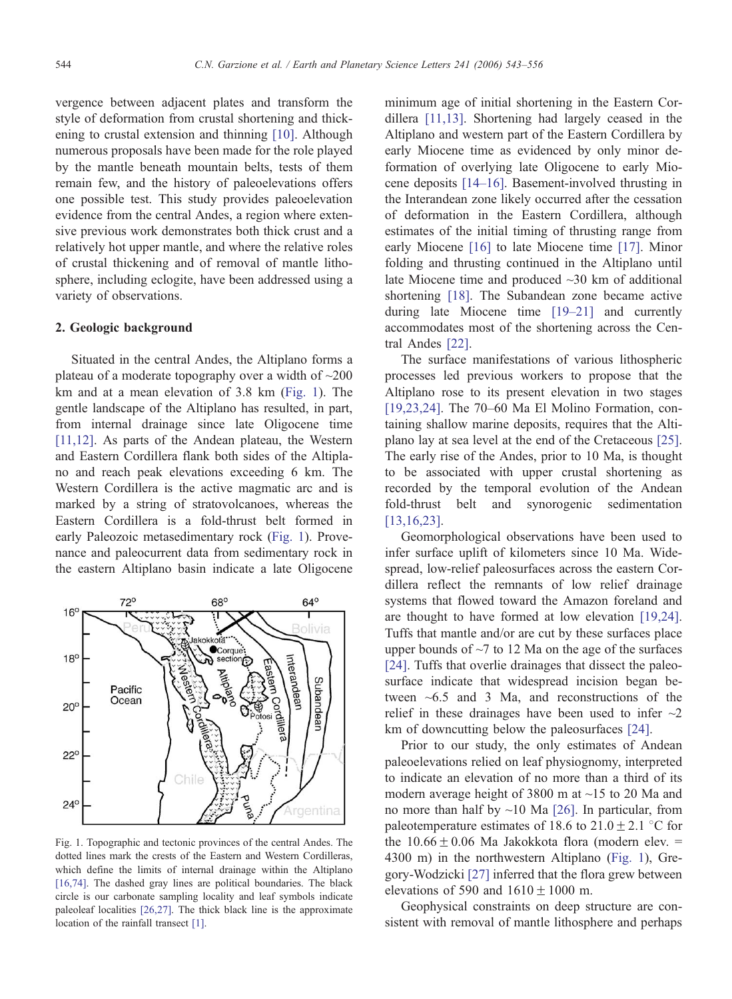vergence between adjacent plates and transform the style of deformation from crustal shortening and thickening to crustal extension and thinning [\[10\].](#page-11-0) Although numerous proposals have been made for the role played by the mantle beneath mountain belts, tests of them remain few, and the history of paleoelevations offers one possible test. This study provides paleoelevation evidence from the central Andes, a region where extensive previous work demonstrates both thick crust and a relatively hot upper mantle, and where the relative roles of crustal thickening and of removal of mantle lithosphere, including eclogite, have been addressed using a variety of observations.

## 2. Geologic background

Situated in the central Andes, the Altiplano forms a plateau of a moderate topography over a width of ~200 km and at a mean elevation of 3.8 km (Fig. 1). The gentle landscape of the Altiplano has resulted, in part, from internal drainage since late Oligocene time [\[11,12\].](#page-11-0) As parts of the Andean plateau, the Western and Eastern Cordillera flank both sides of the Altiplano and reach peak elevations exceeding 6 km. The Western Cordillera is the active magmatic arc and is marked by a string of stratovolcanoes, whereas the Eastern Cordillera is a fold-thrust belt formed in early Paleozoic metasedimentary rock (Fig. 1). Provenance and paleocurrent data from sedimentary rock in the eastern Altiplano basin indicate a late Oligocene



Fig. 1. Topographic and tectonic provinces of the central Andes. The dotted lines mark the crests of the Eastern and Western Cordilleras, which define the limits of internal drainage within the Altiplano [\[16,74\]](#page-11-0). The dashed gray lines are political boundaries. The black circle is our carbonate sampling locality and leaf symbols indicate paleoleaf localities [\[26,27\].](#page-12-0) The thick black line is the approximate location of the rainfall transect [\[1\].](#page-11-0)

minimum age of initial shortening in the Eastern Cordillera [\[11,13\].](#page-11-0) Shortening had largely ceased in the Altiplano and western part of the Eastern Cordillera by early Miocene time as evidenced by only minor deformation of overlying late Oligocene to early Miocene deposits [\[14–16\].](#page-11-0) Basement-involved thrusting in the Interandean zone likely occurred after the cessation of deformation in the Eastern Cordillera, although estimates of the initial timing of thrusting range from early Miocene [\[16\]](#page-11-0) to late Miocene time [\[17\].](#page-11-0) Minor folding and thrusting continued in the Altiplano until late Miocene time and produced ~30 km of additional shortening [\[18\].](#page-11-0) The Subandean zone became active during late Miocene time [\[19–21\]](#page-11-0) and currently accommodates most of the shortening across the Central Andes [\[22\].](#page-12-0)

The surface manifestations of various lithospheric processes led previous workers to propose that the Altiplano rose to its present elevation in two stages [\[19,23,24\].](#page-11-0) The 70–60 Ma El Molino Formation, containing shallow marine deposits, requires that the Altiplano lay at sea level at the end of the Cretaceous [\[25\].](#page-12-0) The early rise of the Andes, prior to 10 Ma, is thought to be associated with upper crustal shortening as recorded by the temporal evolution of the Andean fold-thrust belt and synorogenic sedimentation [\[13,16,23\].](#page-11-0)

Geomorphological observations have been used to infer surface uplift of kilometers since 10 Ma. Widespread, low-relief paleosurfaces across the eastern Cordillera reflect the remnants of low relief drainage systems that flowed toward the Amazon foreland and are thought to have formed at low elevation [\[19,24\].](#page-11-0) Tuffs that mantle and/or are cut by these surfaces place upper bounds of  $\sim$ 7 to 12 Ma on the age of the surfaces [\[24\].](#page-12-0) Tuffs that overlie drainages that dissect the paleosurface indicate that widespread incision began between ~6.5 and 3 Ma, and reconstructions of the relief in these drainages have been used to infer  $\sim$ 2 km of downcutting below the paleosurfaces [\[24\].](#page-12-0)

Prior to our study, the only estimates of Andean paleoelevations relied on leaf physiognomy, interpreted to indicate an elevation of no more than a third of its modern average height of 3800 m at ~15 to 20 Ma and no more than half by  $\sim$ 10 Ma [\[26\].](#page-12-0) In particular, from paleotemperature estimates of 18.6 to  $21.0 \pm 2.1$  °C for the  $10.66 \pm 0.06$  Ma Jakokkota flora (modern elev. = 4300 m) in the northwestern Altiplano (Fig. 1), Gregory-Wodzicki [\[27\]](#page-12-0) inferred that the flora grew between elevations of 590 and  $1610 \pm 1000$  m.

Geophysical constraints on deep structure are consistent with removal of mantle lithosphere and perhaps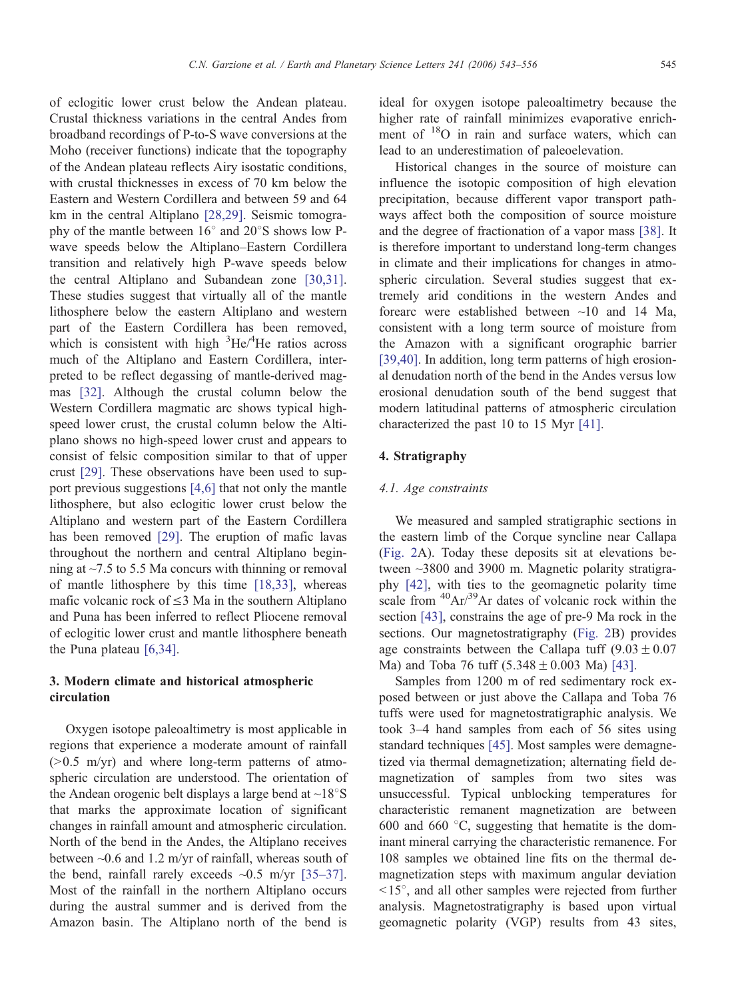of eclogitic lower crust below the Andean plateau. Crustal thickness variations in the central Andes from broadband recordings of P-to-S wave conversions at the Moho (receiver functions) indicate that the topography of the Andean plateau reflects Airy isostatic conditions, with crustal thicknesses in excess of 70 km below the Eastern and Western Cordillera and between 59 and 64 km in the central Altiplano [\[28,29\]](#page-12-0). Seismic tomography of the mantle between  $16^{\circ}$  and  $20^{\circ}$ S shows low Pwave speeds below the Altiplano–Eastern Cordillera transition and relatively high P-wave speeds below the central Altiplano and Subandean zone [\[30,31\]](#page-12-0). These studies suggest that virtually all of the mantle lithosphere below the eastern Altiplano and western part of the Eastern Cordillera has been removed, which is consistent with high  ${}^{3}$ He/ ${}^{4}$ He ratios across much of the Altiplano and Eastern Cordillera, interpreted to be reflect degassing of mantle-derived magmas [\[32\].](#page-12-0) Although the crustal column below the Western Cordillera magmatic arc shows typical highspeed lower crust, the crustal column below the Altiplano shows no high-speed lower crust and appears to consist of felsic composition similar to that of upper crust [\[29\].](#page-12-0) These observations have been used to support previous suggestions [\[4,6\]](#page-11-0) that not only the mantle lithosphere, but also eclogitic lower crust below the Altiplano and western part of the Eastern Cordillera has been removed [\[29\].](#page-12-0) The eruption of mafic lavas throughout the northern and central Altiplano beginning at ~7.5 to 5.5 Ma concurs with thinning or removal of mantle lithosphere by this time [\[18,33\]](#page-11-0), whereas mafic volcanic rock of  $\leq$ 3 Ma in the southern Altiplano and Puna has been inferred to reflect Pliocene removal of eclogitic lower crust and mantle lithosphere beneath the Puna plateau [\[6,34\].](#page-11-0)

# 3. Modern climate and historical atmospheric circulation

Oxygen isotope paleoaltimetry is most applicable in regions that experience a moderate amount of rainfall  $(0.5 \text{ m/yr})$  and where long-term patterns of atmospheric circulation are understood. The orientation of the Andean orogenic belt displays a large bend at  $\sim$ 18°S that marks the approximate location of significant changes in rainfall amount and atmospheric circulation. North of the bend in the Andes, the Altiplano receives between ~0.6 and 1.2 m/yr of rainfall, whereas south of the bend, rainfall rarely exceeds  $\sim 0.5$  m/yr [\[35–37\].](#page-12-0) Most of the rainfall in the northern Altiplano occurs during the austral summer and is derived from the Amazon basin. The Altiplano north of the bend is ideal for oxygen isotope paleoaltimetry because the higher rate of rainfall minimizes evaporative enrichment of <sup>18</sup>O in rain and surface waters, which can lead to an underestimation of paleoelevation.

Historical changes in the source of moisture can influence the isotopic composition of high elevation precipitation, because different vapor transport pathways affect both the composition of source moisture and the degree of fractionation of a vapor mass [\[38\].](#page-12-0) It is therefore important to understand long-term changes in climate and their implications for changes in atmospheric circulation. Several studies suggest that extremely arid conditions in the western Andes and forearc were established between ~10 and 14 Ma, consistent with a long term source of moisture from the Amazon with a significant orographic barrier [\[39,40\].](#page-12-0) In addition, long term patterns of high erosional denudation north of the bend in the Andes versus low erosional denudation south of the bend suggest that modern latitudinal patterns of atmospheric circulation characterized the past 10 to 15 Myr [\[41\].](#page-12-0)

# 4. Stratigraphy

#### 4.1. Age constraints

We measured and sampled stratigraphic sections in the eastern limb of the Corque syncline near Callapa ([Fig. 2A](#page-3-0)). Today these deposits sit at elevations between ~3800 and 3900 m. Magnetic polarity stratigraphy [\[42\],](#page-12-0) with ties to the geomagnetic polarity time scale from  ${}^{40}Ar/{}^{39}Ar$  dates of volcanic rock within the section [\[43\],](#page-12-0) constrains the age of pre-9 Ma rock in the sections. Our magnetostratigraphy ([Fig. 2B](#page-3-0)) provides age constraints between the Callapa tuff  $(9.03 \pm 0.07$ Ma) and Toba 76 tuff  $(5.348 \pm 0.003 \text{ Ma})$  [\[43\].](#page-12-0)

Samples from 1200 m of red sedimentary rock exposed between or just above the Callapa and Toba 76 tuffs were used for magnetostratigraphic analysis. We took 3–4 hand samples from each of 56 sites using standard techniques [\[45\].](#page-12-0) Most samples were demagnetized via thermal demagnetization; alternating field demagnetization of samples from two sites was unsuccessful. Typical unblocking temperatures for characteristic remanent magnetization are between 600 and 660  $\degree$ C, suggesting that hematite is the dominant mineral carrying the characteristic remanence. For 108 samples we obtained line fits on the thermal demagnetization steps with maximum angular deviation  $15^\circ$ , and all other samples were rejected from further analysis. Magnetostratigraphy is based upon virtual geomagnetic polarity (VGP) results from 43 sites,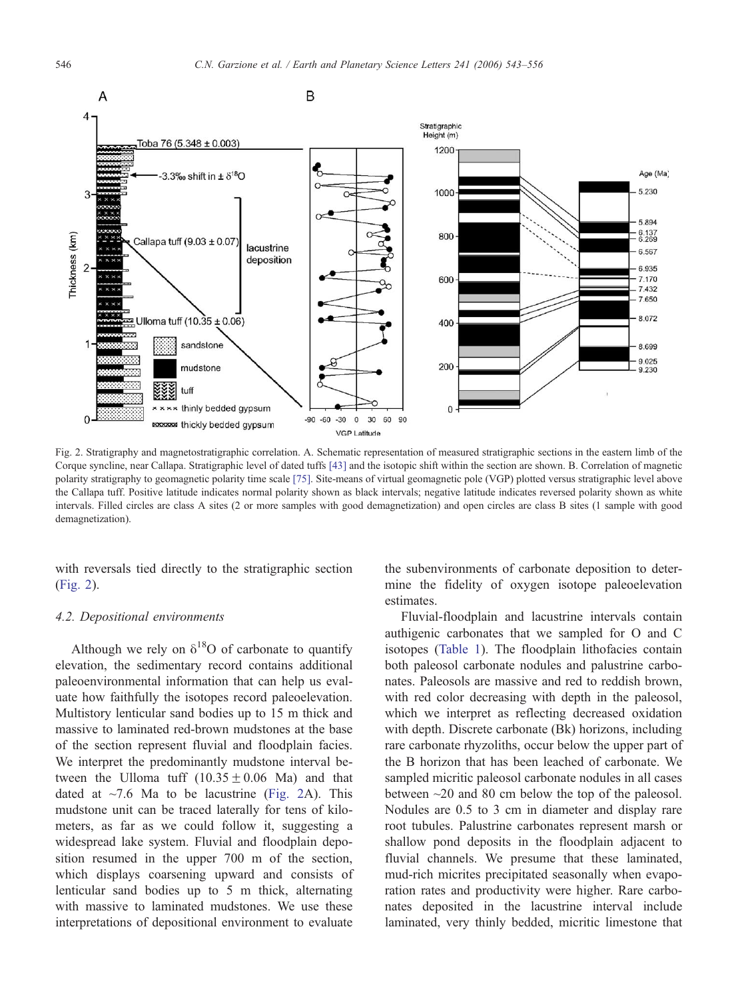<span id="page-3-0"></span>

Fig. 2. Stratigraphy and magnetostratigraphic correlation. A. Schematic representation of measured stratigraphic sections in the eastern limb of the Corque syncline, near Callapa. Stratigraphic level of dated tuffs [\[43\]](#page-12-0) and the isotopic shift within the section are shown. B. Correlation of magnetic polarity stratigraphy to geomagnetic polarity time scale [\[75\].](#page-13-0) Site-means of virtual geomagnetic pole (VGP) plotted versus stratigraphic level above the Callapa tuff. Positive latitude indicates normal polarity shown as black intervals; negative latitude indicates reversed polarity shown as white intervals. Filled circles are class A sites (2 or more samples with good demagnetization) and open circles are class B sites (1 sample with good demagnetization).

with reversals tied directly to the stratigraphic section (Fig. 2).

# 4.2. Depositional environments

Although we rely on  $\delta^{18}O$  of carbonate to quantify elevation, the sedimentary record contains additional paleoenvironmental information that can help us evaluate how faithfully the isotopes record paleoelevation. Multistory lenticular sand bodies up to 15 m thick and massive to laminated red-brown mudstones at the base of the section represent fluvial and floodplain facies. We interpret the predominantly mudstone interval between the Ulloma tuff  $(10.35 \pm 0.06 \text{ Ma})$  and that dated at  $\sim$ 7.6 Ma to be lacustrine (Fig. 2A). This mudstone unit can be traced laterally for tens of kilometers, as far as we could follow it, suggesting a widespread lake system. Fluvial and floodplain deposition resumed in the upper 700 m of the section, which displays coarsening upward and consists of lenticular sand bodies up to 5 m thick, alternating with massive to laminated mudstones. We use these interpretations of depositional environment to evaluate the subenvironments of carbonate deposition to determine the fidelity of oxygen isotope paleoelevation estimates.

Fluvial-floodplain and lacustrine intervals contain authigenic carbonates that we sampled for O and C isotopes ([Table 1\)](#page-4-0). The floodplain lithofacies contain both paleosol carbonate nodules and palustrine carbonates. Paleosols are massive and red to reddish brown, with red color decreasing with depth in the paleosol, which we interpret as reflecting decreased oxidation with depth. Discrete carbonate (Bk) horizons, including rare carbonate rhyzoliths, occur below the upper part of the B horizon that has been leached of carbonate. We sampled micritic paleosol carbonate nodules in all cases between ~20 and 80 cm below the top of the paleosol. Nodules are 0.5 to 3 cm in diameter and display rare root tubules. Palustrine carbonates represent marsh or shallow pond deposits in the floodplain adjacent to fluvial channels. We presume that these laminated, mud-rich micrites precipitated seasonally when evaporation rates and productivity were higher. Rare carbonates deposited in the lacustrine interval include laminated, very thinly bedded, micritic limestone that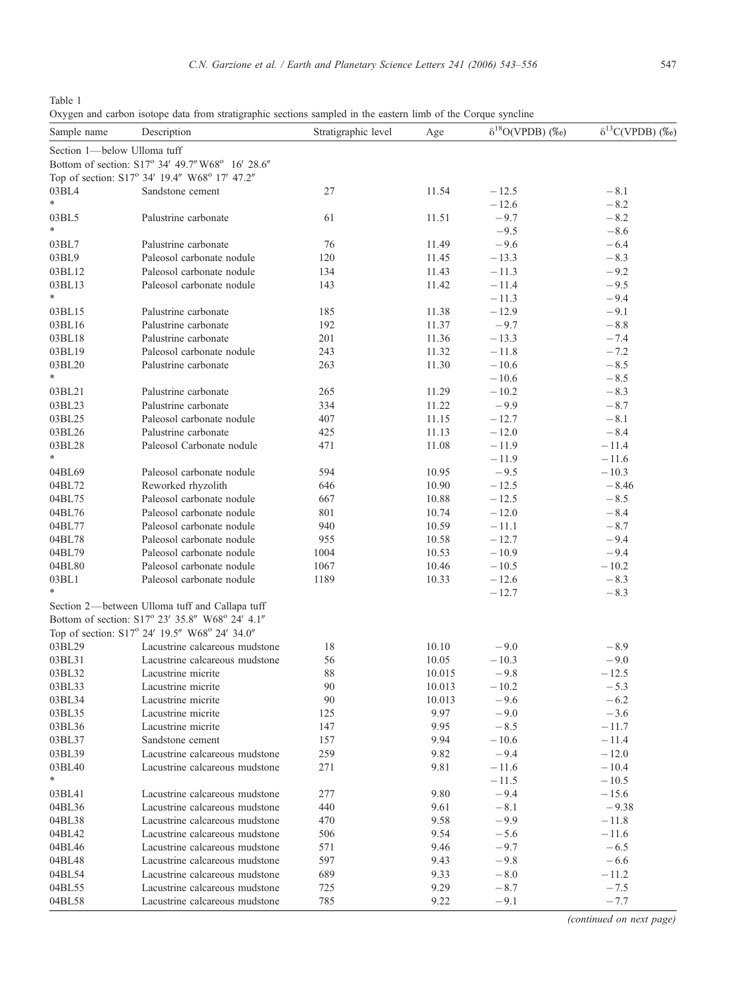<span id="page-4-0"></span>Table 1

Oxygen and carbon isotope data from stratigraphic sections sampled in the eastern limb of the Corque syncline

| Sample name                 | Description                                      | Stratigraphic level | Age            | $\delta^{18}O(VPDB)$ (%o) | $\delta^{13}C(VPDB)$ (%o) |
|-----------------------------|--------------------------------------------------|---------------------|----------------|---------------------------|---------------------------|
| Section 1-below Ulloma tuff |                                                  |                     |                |                           |                           |
|                             | Bottom of section: S17° 34' 49.7" W68° 16' 28.6" |                     |                |                           |                           |
|                             | Top of section: S17° 34' 19.4" W68° 17' 47.2"    |                     |                |                           |                           |
| 03BL4                       | Sandstone cement                                 | 27                  | 11.54          | $-12.5$                   | $-8.1$                    |
| $\ast$                      |                                                  |                     |                | $-12.6$                   | $-8.2$                    |
| 03BL5                       | Palustrine carbonate                             | 61                  | 11.51          | $-9.7$                    | $-8.2$                    |
| $\ast$                      |                                                  |                     |                | $-9.5$                    | $-8.6$                    |
| 03BL7                       | Palustrine carbonate                             | 76                  | 11.49          | $-9.6$                    | $-6.4$                    |
| 03BL9                       | Paleosol carbonate nodule                        | 120                 | 11.45          | $-13.3$                   | $-8.3$                    |
| 03BL12                      | Paleosol carbonate nodule                        | 134                 | 11.43          | $-11.3$                   | $-9.2$                    |
| 03BL13<br>*                 | Paleosol carbonate nodule                        | 143                 | 11.42          | $-11.4$                   | $-9.5$<br>$-9.4$          |
| 03BL15                      | Palustrine carbonate                             | 185                 |                | $-11.3$<br>$-12.9$        | $-9.1$                    |
| 03BL16                      | Palustrine carbonate                             | 192                 | 11.38<br>11.37 | $-9.7$                    | $-8.8$                    |
| 03BL18                      | Palustrine carbonate                             | 201                 | 11.36          | $-13.3$                   | $-7.4$                    |
| 03BL19                      | Paleosol carbonate nodule                        | 243                 | 11.32          | $-11.8$                   | $-7.2$                    |
| 03BL20                      | Palustrine carbonate                             | 263                 | 11.30          | $-10.6$                   | $-8.5$                    |
| *                           |                                                  |                     |                | $-10.6$                   | $-8.5$                    |
| 03BL21                      | Palustrine carbonate                             | 265                 | 11.29          | $-10.2$                   | $-8.3$                    |
| 03BL23                      | Palustrine carbonate                             | 334                 | 11.22          | $-9.9$                    | $-8.7$                    |
| 03BL25                      | Paleosol carbonate nodule                        | 407                 | 11.15          | $-12.7$                   | $-8.1$                    |
| 03BL26                      | Palustrine carbonate                             | 425                 | 11.13          | $-12.0$                   | $-8.4$                    |
| 03BL28                      | Paleosol Carbonate nodule                        | 471                 | 11.08          | $-11.9$                   | $-11.4$                   |
| *                           |                                                  |                     |                | $-11.9$                   | $-11.6$                   |
| 04BL69                      | Paleosol carbonate nodule                        | 594                 | 10.95          | $-9.5$                    | $-10.3$                   |
| 04BL72                      | Reworked rhyzolith                               | 646                 | 10.90          | $-12.5$                   | $-8.46$                   |
| 04BL75                      | Paleosol carbonate nodule                        | 667                 | 10.88          | $-12.5$                   | $-8.5$                    |
| 04BL76                      | Paleosol carbonate nodule                        | 801                 | 10.74          | $-12.0$                   | $-8.4$                    |
| 04BL77                      | Paleosol carbonate nodule                        | 940                 | 10.59          | $-11.1$                   | $-8.7$                    |
| 04BL78                      | Paleosol carbonate nodule                        | 955                 | 10.58          | $-12.7$                   | $-9.4$                    |
| 04BL79                      | Paleosol carbonate nodule                        | 1004                | 10.53          | $-10.9$                   | $-9.4$                    |
| 04BL80                      | Paleosol carbonate nodule                        | 1067                | 10.46          | $-10.5$                   | $-10.2$                   |
| 03BL1                       | Paleosol carbonate nodule                        | 1189                | 10.33          | $-12.6$                   | $-8.3$                    |
| *                           |                                                  |                     |                | $-12.7$                   | $-8.3$                    |
|                             | Section 2-between Ulloma tuff and Callapa tuff   |                     |                |                           |                           |
|                             | Bottom of section: S17° 23' 35.8" W68° 24' 4.1"  |                     |                |                           |                           |
|                             | Top of section: S17° 24' 19.5" W68° 24' 34.0"    |                     |                |                           |                           |
| 03BL29                      | Lacustrine calcareous mudstone                   | 18                  | 10.10          | $-9.0$                    | $-8.9$                    |
| 03BL31                      | Lacustrine calcareous mudstone                   | 56                  | 10.05          | $-10.3$                   | $-9.0$                    |
| 03BL32                      | Lacustrine micrite                               | 88                  | 10.015         | $-9.8$                    | $-12.5$                   |
| 03BL33                      | Lacustrine micrite                               | 90                  | 10.013         | $-10.2$                   | $-5.3$                    |
| 03BL34                      | Lacustrine micrite                               | 90                  | 10.013         | $-9.6$                    | $-6.2$                    |
| 03BL35                      | Lacustrine micrite                               | 125                 | 9.97           | $-9.0$                    | $-3.6$                    |
| 03BL36                      | Lacustrine micrite                               | 147                 | 9.95           | $-8.5$                    | $-11.7$                   |
| 03BL37                      | Sandstone cement                                 | 157                 | 9.94           | $-10.6$                   | $-11.4$                   |
| 03BL39                      | Lacustrine calcareous mudstone                   | 259                 | 9.82           | $-9.4$                    | $-12.0$                   |
| 03BL40                      | Lacustrine calcareous mudstone                   | 271                 | 9.81           | $-11.6$                   | $-10.4$                   |
| $\ast$                      |                                                  |                     |                | $-11.5$                   | $-10.5$                   |
| 03BL41                      | Lacustrine calcareous mudstone                   | 277                 | 9.80           | $-9.4$                    | $-15.6$                   |
| 04BL36                      | Lacustrine calcareous mudstone                   | 440                 | 9.61           | $-8.1$                    | $-9.38$                   |
| 04BL38                      | Lacustrine calcareous mudstone                   | 470                 | 9.58           | $-9.9$                    | $-11.8$                   |
| 04BL42                      | Lacustrine calcareous mudstone                   | 506                 | 9.54           | $-5.6$                    | $-11.6$                   |
| 04BL46                      | Lacustrine calcareous mudstone                   | 571                 | 9.46           | $-9.7$                    | $-6.5$                    |
| 04BL48                      | Lacustrine calcareous mudstone                   | 597                 | 9.43           | $-9.8$                    | $-6.6$                    |
| 04BL54                      | Lacustrine calcareous mudstone                   | 689                 | 9.33           | $-8.0$                    | $-11.2$                   |
| 04BL55                      | Lacustrine calcareous mudstone                   | 725                 | 9.29           | $-8.7$                    | $-7.5$                    |
| 04BL58                      | Lacustrine calcareous mudstone                   | 785                 | 9.22           | $-9.1$                    | $-7.7$                    |

(continued on next page)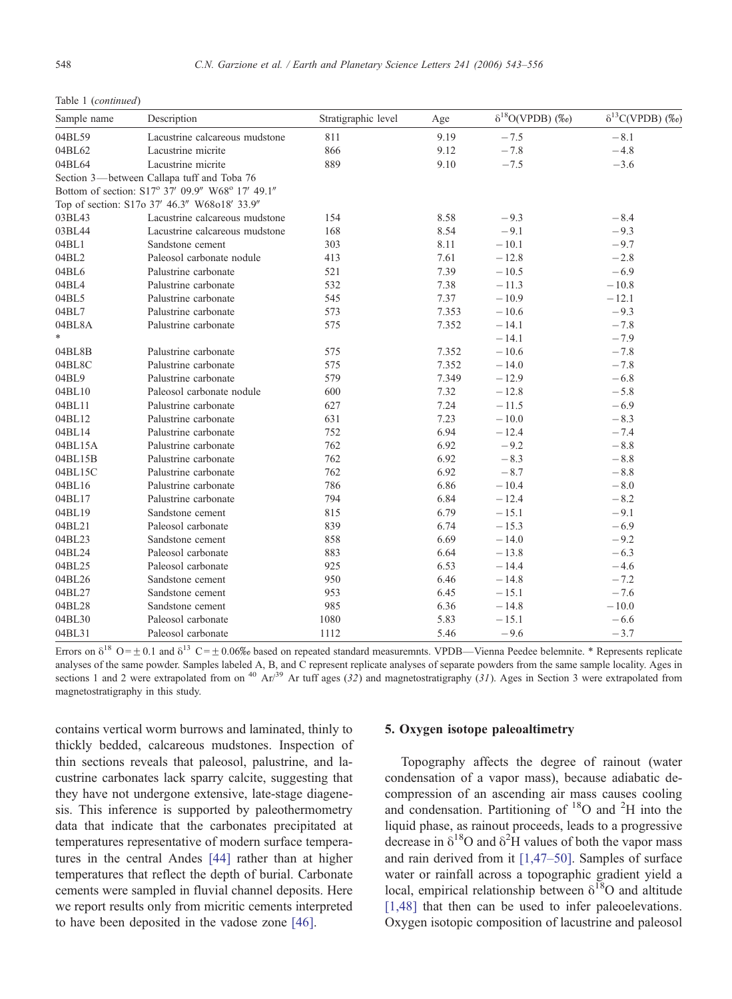| Sample name | Description                                      | Stratigraphic level | Age   | $\delta^{18}O(VPDB)$ (%o) | $\delta^{13}C(VPDB)$ (%o) |
|-------------|--------------------------------------------------|---------------------|-------|---------------------------|---------------------------|
| 04BL59      | Lacustrine calcareous mudstone                   | 811                 | 9.19  | $-7.5$                    | $-8.1$                    |
| 04BL62      | Lacustrine micrite                               | 866                 | 9.12  | $-7.8$                    | $-4.8$                    |
| 04BL64      | Lacustrine micrite                               | 889                 | 9.10  | $-7.5$                    | $-3.6$                    |
|             | Section 3—between Callapa tuff and Toba 76       |                     |       |                           |                           |
|             | Bottom of section: S17° 37' 09.9" W68° 17' 49.1" |                     |       |                           |                           |
|             | Top of section: S17o 37' 46.3" W68o18' 33.9"     |                     |       |                           |                           |
| 03BL43      | Lacustrine calcareous mudstone                   | 154                 | 8.58  | $-9.3$                    | $-8.4$                    |
| 03BL44      | Lacustrine calcareous mudstone                   | 168                 | 8.54  | $-9.1$                    | $-9.3$                    |
| 04BL1       | Sandstone cement                                 | 303                 | 8.11  | $-10.1$                   | $-9.7$                    |
| 04BL2       | Paleosol carbonate nodule                        | 413                 | 7.61  | $-12.8$                   | $-2.8$                    |
| 04BL6       | Palustrine carbonate                             | 521                 | 7.39  | $-10.5$                   | $-6.9$                    |
| 04BL4       | Palustrine carbonate                             | 532                 | 7.38  | $-11.3$                   | $-10.8$                   |
| 04BL5       | Palustrine carbonate                             | 545                 | 7.37  | $-10.9$                   | $-12.1$                   |
| 04BL7       | Palustrine carbonate                             | 573                 | 7.353 | $-10.6$                   | $-9.3$                    |
| 04BL8A      | Palustrine carbonate                             | 575                 | 7.352 | $-14.1$                   | $-7.8$                    |
| $\ast$      |                                                  |                     |       | $-14.1$                   | $-7.9$                    |
| 04BL8B      | Palustrine carbonate                             | 575                 | 7.352 | $-10.6$                   | $-7.8$                    |
| 04BL8C      | Palustrine carbonate                             | 575                 | 7.352 | $-14.0$                   | $-7.8$                    |
| 04BL9       | Palustrine carbonate                             | 579                 | 7.349 | $-12.9$                   | $-6.8$                    |
| 04BL10      | Paleosol carbonate nodule                        | 600                 | 7.32  | $-12.8$                   | $-5.8$                    |
| 04BL11      | Palustrine carbonate                             | 627                 | 7.24  | $-11.5$                   | $-6.9$                    |
| 04BL12      | Palustrine carbonate                             | 631                 | 7.23  | $-10.0$                   | $-8.3$                    |
| 04BL14      | Palustrine carbonate                             | 752                 | 6.94  | $-12.4$                   | $-7.4$                    |
| 04BL15A     | Palustrine carbonate                             | 762                 | 6.92  | $-9.2$                    | $-8.8$                    |
| 04BL15B     | Palustrine carbonate                             | 762                 | 6.92  | $-8.3$                    | $-8.8$                    |
| 04BL15C     | Palustrine carbonate                             | 762                 | 6.92  | $-8.7$                    | $-8.8$                    |
| 04BL16      | Palustrine carbonate                             | 786                 | 6.86  | $-10.4$                   | $-8.0$                    |
| 04BL17      | Palustrine carbonate                             | 794                 | 6.84  | $-12.4$                   | $-8.2$                    |
| 04BL19      | Sandstone cement                                 | 815                 | 6.79  | $-15.1$                   | $-9.1$                    |
| 04BL21      | Paleosol carbonate                               | 839                 | 6.74  | $-15.3$                   | $-6.9$                    |
| 04BL23      | Sandstone cement                                 | 858                 | 6.69  | $-14.0$                   | $-9.2$                    |
| 04BL24      | Paleosol carbonate                               | 883                 | 6.64  | $-13.8$                   | $-6.3$                    |
| 04BL25      | Paleosol carbonate                               | 925                 | 6.53  | $-14.4$                   | $-4.6$                    |
| 04BL26      | Sandstone cement                                 | 950                 | 6.46  | $-14.8$                   | $-7.2$                    |
| 04BL27      | Sandstone cement                                 | 953                 | 6.45  | $-15.1$                   | $-7.6$                    |
| 04BL28      | Sandstone cement                                 | 985                 | 6.36  | $-14.8$                   | $-10.0$                   |
| 04BL30      | Paleosol carbonate                               | 1080                | 5.83  | $-15.1$                   | $-6.6$                    |
| 04BL31      | Paleosol carbonate                               | 1112                | 5.46  | $-9.6$                    | $-3.7$                    |

Table 1 (continued)

Errors on  $\delta^{18}$  O =  $\pm$  0.1 and  $\delta^{13}$  C =  $\pm$  0.06% based on repeated standard measuremnts. VPDB—Vienna Peedee belemnite. \* Represents replicate analyses of the same powder. Samples labeled A, B, and C represent replicate analyses of separate powders from the same sample locality. Ages in sections 1 and 2 were extrapolated from on  $40 \text{ Ar}/39$  Ar tuff ages (32) and magnetostratigraphy (31). Ages in Section 3 were extrapolated from magnetostratigraphy in this study.

contains vertical worm burrows and laminated, thinly to thickly bedded, calcareous mudstones. Inspection of thin sections reveals that paleosol, palustrine, and lacustrine carbonates lack sparry calcite, suggesting that they have not undergone extensive, late-stage diagenesis. This inference is supported by paleothermometry data that indicate that the carbonates precipitated at temperatures representative of modern surface temperatures in the central Andes [\[44\]](#page-12-0) rather than at higher temperatures that reflect the depth of burial. Carbonate cements were sampled in fluvial channel deposits. Here we report results only from micritic cements interpreted to have been deposited in the vadose zone [\[46\].](#page-12-0)

## 5. Oxygen isotope paleoaltimetry

Topography affects the degree of rainout (water condensation of a vapor mass), because adiabatic decompression of an ascending air mass causes cooling and condensation. Partitioning of <sup>18</sup>O and <sup>2</sup>H into the liquid phase, as rainout proceeds, leads to a progressive decrease in  $\delta^{18}O$  and  $\delta^2H$  values of both the vapor mass and rain derived from it [\[1,47–50\].](#page-11-0) Samples of surface water or rainfall across a topographic gradient yield a local, empirical relationship between  $\delta^{18}O$  and altitude [\[1,48\]](#page-11-0) that then can be used to infer paleoelevations. Oxygen isotopic composition of lacustrine and paleosol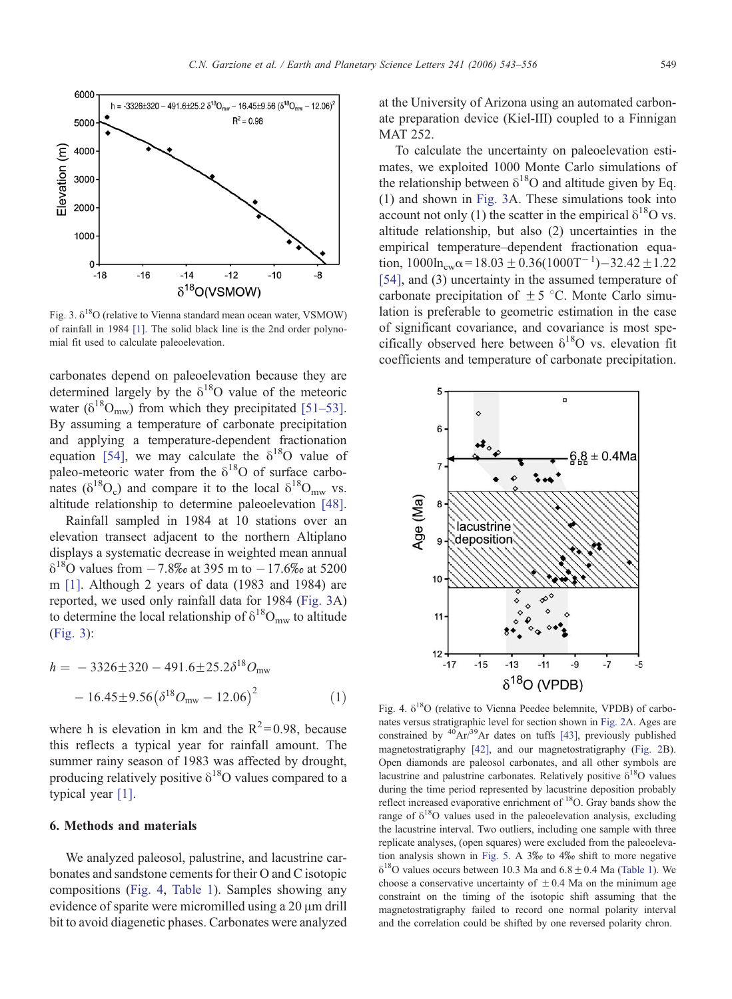<span id="page-6-0"></span>

Fig. 3.  $\delta^{18}O$  (relative to Vienna standard mean ocean water, VSMOW) of rainfall in 1984 [\[1\].](#page-11-0) The solid black line is the 2nd order polynomial fit used to calculate paleoelevation.

carbonates depend on paleoelevation because they are determined largely by the  $\delta^{18}O$  value of the meteoric water ( $\delta^{18}O_{\text{mw}}$ ) from which they precipitated [\[51–53\].](#page-12-0) By assuming a temperature of carbonate precipitation and applying a temperature-dependent fractionation equation [\[54\],](#page-13-0) we may calculate the  $\delta^{18}$ O value of paleo-meteoric water from the  $\delta^{18}$ O of surface carbonates ( $\delta^{18}O_c$ ) and compare it to the local  $\delta^{18}O_{mw}$  vs. altitude relationship to determine paleoelevation [\[48\]](#page-12-0).

Rainfall sampled in 1984 at 10 stations over an elevation transect adjacent to the northern Altiplano displays a systematic decrease in weighted mean annual  $\delta^{18}$ O values from  $-7.8\%$  at 395 m to  $-17.6\%$  at 5200 m [\[1\].](#page-11-0) Although 2 years of data (1983 and 1984) are reported, we used only rainfall data for 1984 (Fig. 3A) to determine the local relationship of  $\delta^{18}O_{mw}$  to altitude (Fig. 3):

$$
h = -3326 \pm 320 - 491.6 \pm 25.2 \delta^{18} O_{\text{mw}}
$$

$$
-16.45 \pm 9.56 (\delta^{18} O_{\text{mw}} - 12.06)^2 \tag{1}
$$

where h is elevation in km and the  $R^2$ =0.98, because this reflects a typical year for rainfall amount. The summer rainy season of 1983 was affected by drought, producing relatively positive  $\delta^{18}$ O values compared to a typical year [\[1\].](#page-11-0)

#### 6. Methods and materials

We analyzed paleosol, palustrine, and lacustrine carbonates and sandstone cements for their O and C isotopic compositions (Fig. 4, [Table 1](#page-4-0)). Samples showing any evidence of sparite were micromilled using a  $20 \mu m$  drill bit to avoid diagenetic phases. Carbonates were analyzed at the University of Arizona using an automated carbonate preparation device (Kiel-III) coupled to a Finnigan MAT 252.

To calculate the uncertainty on paleoelevation estimates, we exploited 1000 Monte Carlo simulations of the relationship between  $\delta^{18}$ O and altitude given by Eq. (1) and shown in Fig. 3A. These simulations took into account not only (1) the scatter in the empirical  $\delta^{18}$ O vs. altitude relationship, but also (2) uncertainties in the empirical temperature–dependent fractionation equation,  $1000 \ln_{cw} \alpha = 18.03 \pm 0.36(1000T^{-1}) - 32.42 \pm 1.22$ [\[54\],](#page-13-0) and (3) uncertainty in the assumed temperature of carbonate precipitation of  $\pm$  5 °C. Monte Carlo simulation is preferable to geometric estimation in the case of significant covariance, and covariance is most specifically observed here between  $\delta^{18}O$  vs. elevation fit coefficients and temperature of carbonate precipitation.



Fig. 4.  $\delta^{18}O$  (relative to Vienna Peedee belemnite, VPDB) of carbonates versus stratigraphic level for section shown in [Fig. 2A](#page-3-0). Ages are constrained by  ${}^{40}Ar/{}^{39}Ar$  dates on tuffs [\[43\],](#page-12-0) previously published magnetostratigraphy [\[42\],](#page-12-0) and our magnetostratigraphy ([Fig. 2B](#page-3-0)). Open diamonds are paleosol carbonates, and all other symbols are lacustrine and palustrine carbonates. Relatively positive  $\delta^{18}O$  values during the time period represented by lacustrine deposition probably reflect increased evaporative enrichment of  $^{18}$ O. Gray bands show the range of  $\delta^{18}$ O values used in the paleoelevation analysis, excluding the lacustrine interval. Two outliers, including one sample with three replicate analyses, (open squares) were excluded from the paleoeleva-tion analysis shown in [Fig. 5.](#page-7-0) A  $3\%$  to  $4\%$  shift to more negative  $\delta^{18}$ O values occurs between 10.3 Ma and 6.8  $\pm$  0.4 Ma ([Table 1\)](#page-4-0). We choose a conservative uncertainty of  $\pm$  0.4 Ma on the minimum age constraint on the timing of the isotopic shift assuming that the magnetostratigraphy failed to record one normal polarity interval and the correlation could be shifted by one reversed polarity chron.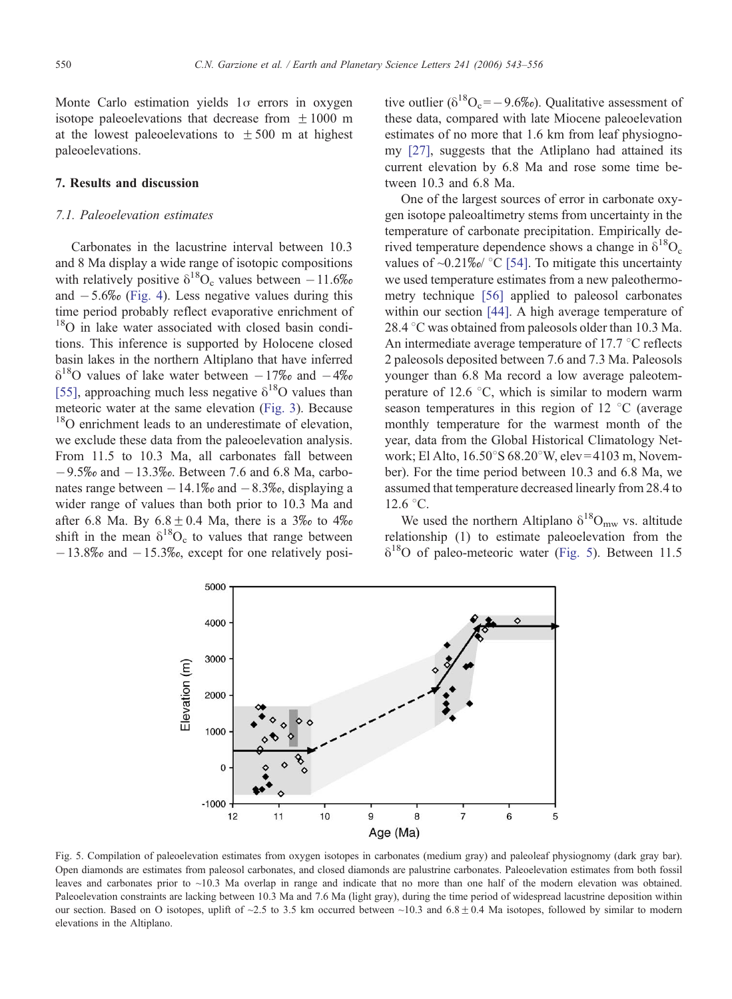<span id="page-7-0"></span>Monte Carlo estimation yields  $1\sigma$  errors in oxygen isotope paleoelevations that decrease from  $\pm 1000$  m at the lowest paleoelevations to  $\pm 500$  m at highest paleoelevations.

## 7. Results and discussion

## 7.1. Paleoelevation estimates

Carbonates in the lacustrine interval between 10.3 and 8 Ma display a wide range of isotopic compositions with relatively positive  $\delta^{18}O_c$  values between  $-11.6\%$ and  $-5.6\%$  [\(Fig. 4](#page-6-0)). Less negative values during this time period probably reflect evaporative enrichment of <sup>18</sup>O in lake water associated with closed basin conditions. This inference is supported by Holocene closed basin lakes in the northern Altiplano that have inferred  $\delta^{18}$ O values of lake water between  $-17\%$  and  $-4\%$ [\[55\],](#page-13-0) approaching much less negative  $\delta^{18}$ O values than meteoric water at the same elevation [\(Fig. 3](#page-6-0)). Because <sup>18</sup>O enrichment leads to an underestimate of elevation, we exclude these data from the paleoelevation analysis. From 11.5 to 10.3 Ma, all carbonates fall between  $-9.5\%$  and  $-13.3\%$ . Between 7.6 and 6.8 Ma, carbonates range between  $-14.1\%$  and  $-8.3\%$ , displaying a wider range of values than both prior to 10.3 Ma and after 6.8 Ma. By  $6.8 \pm 0.4$  Ma, there is a 3\% to 4\% shift in the mean  $\delta^{18}O_c$  to values that range between  $-13.8\%$  and  $-15.3\%$ , except for one relatively positive outlier ( $\delta^{18}O_c=-9.6\%$ ). Qualitative assessment of these data, compared with late Miocene paleoelevation estimates of no more that 1.6 km from leaf physiognomy [\[27\],](#page-12-0) suggests that the Atliplano had attained its current elevation by 6.8 Ma and rose some time between 10.3 and 6.8 Ma.

One of the largest sources of error in carbonate oxygen isotope paleoaltimetry stems from uncertainty in the temperature of carbonate precipitation. Empirically derived temperature dependence shows a change in  $\delta^{18}O_c$ values of  $\sim 0.21\%$  °C [\[54\].](#page-13-0) To mitigate this uncertainty we used temperature estimates from a new paleothermometry technique [\[56\]](#page-13-0) applied to paleosol carbonates within our section [\[44\].](#page-12-0) A high average temperature of 28.4  $\degree$ C was obtained from paleosols older than 10.3 Ma. An intermediate average temperature of 17.7  $\degree$ C reflects 2 paleosols deposited between 7.6 and 7.3 Ma. Paleosols younger than 6.8 Ma record a low average paleotemperature of 12.6  $\degree$ C, which is similar to modern warm season temperatures in this region of 12  $\degree$ C (average monthly temperature for the warmest month of the year, data from the Global Historical Climatology Network; El Alto,  $16.50^{\circ}$ S 68.20°W, elev = 4103 m, November). For the time period between 10.3 and 6.8 Ma, we assumed that temperature decreased linearly from 28.4 to  $12.6 °C$ .

We used the northern Altiplano  $\delta^{18}O_{mw}$  vs. altitude relationship (1) to estimate paleoelevation from the  $\delta^{18}$ O of paleo-meteoric water (Fig. 5). Between 11.5



Fig. 5. Compilation of paleoelevation estimates from oxygen isotopes in carbonates (medium gray) and paleoleaf physiognomy (dark gray bar). Open diamonds are estimates from paleosol carbonates, and closed diamonds are palustrine carbonates. Paleoelevation estimates from both fossil leaves and carbonates prior to ~10.3 Ma overlap in range and indicate that no more than one half of the modern elevation was obtained. Paleoelevation constraints are lacking between 10.3 Ma and 7.6 Ma (light gray), during the time period of widespread lacustrine deposition within our section. Based on O isotopes, uplift of ~2.5 to 3.5 km occurred between ~10.3 and  $6.8 \pm 0.4$  Ma isotopes, followed by similar to modern elevations in the Altiplano.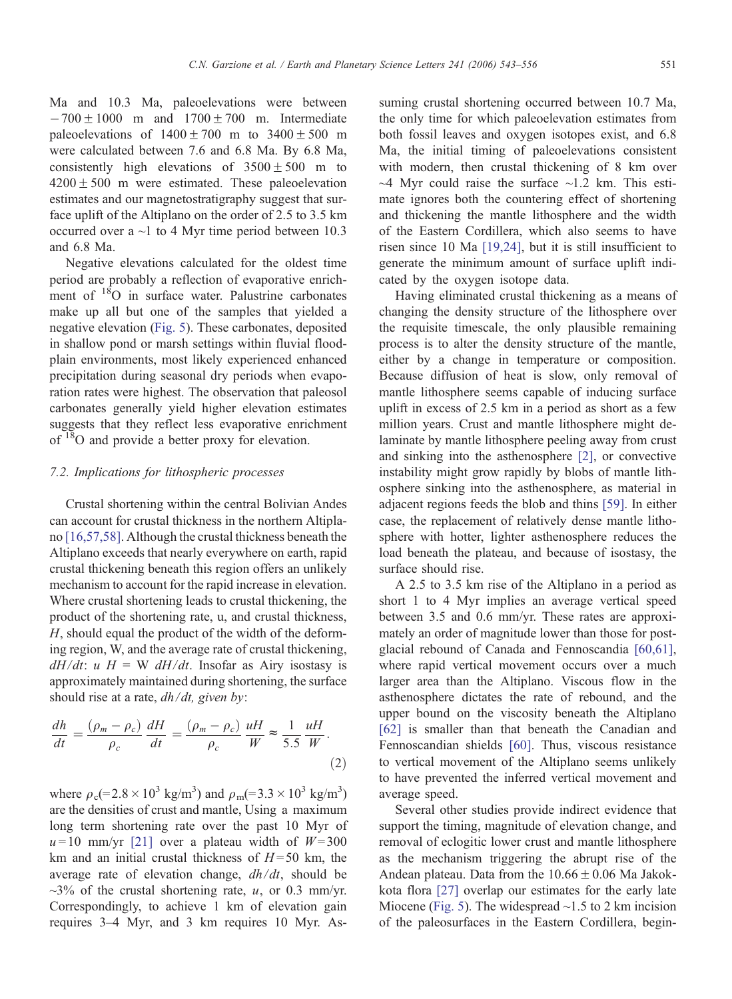Ma and 10.3 Ma, paleoelevations were between  $-700 \pm 1000$  m and  $1700 \pm 700$  m. Intermediate paleoelevations of  $1400 \pm 700$  m to  $3400 \pm 500$  m were calculated between 7.6 and 6.8 Ma. By 6.8 Ma, consistently high elevations of  $3500 \pm 500$  m to  $4200 \pm 500$  m were estimated. These paleoelevation estimates and our magnetostratigraphy suggest that surface uplift of the Altiplano on the order of 2.5 to 3.5 km occurred over a ~1 to 4 Myr time period between 10.3 and 6.8 Ma.

Negative elevations calculated for the oldest time period are probably a reflection of evaporative enrichment of <sup>18</sup>O in surface water. Palustrine carbonates make up all but one of the samples that yielded a negative elevation ([Fig. 5\)](#page-7-0). These carbonates, deposited in shallow pond or marsh settings within fluvial floodplain environments, most likely experienced enhanced precipitation during seasonal dry periods when evaporation rates were highest. The observation that paleosol carbonates generally yield higher elevation estimates suggests that they reflect less evaporative enrichment of 18O and provide a better proxy for elevation.

#### 7.2. Implications for lithospheric processes

Crustal shortening within the central Bolivian Andes can account for crustal thickness in the northern Altiplano [\[16,57,58\].](#page-11-0) Although the crustal thickness beneath the Altiplano exceeds that nearly everywhere on earth, rapid crustal thickening beneath this region offers an unlikely mechanism to account for the rapid increase in elevation. Where crustal shortening leads to crustal thickening, the product of the shortening rate, u, and crustal thickness, H, should equal the product of the width of the deforming region, W, and the average rate of crustal thickening,  $dH/dt$ :  $u H = W dH/dt$ . Insofar as Airy isostasy is approximately maintained during shortening, the surface should rise at a rate,  $dh/dt$ , given by:

$$
\frac{dh}{dt} = \frac{(\rho_m - \rho_c)}{\rho_c} \frac{dH}{dt} = \frac{(\rho_m - \rho_c)}{\rho_c} \frac{uH}{W} \approx \frac{1}{5.5} \frac{uH}{W}.
$$
\n(2)

where  $\rho_c (= 2.8 \times 10^3 \text{ kg/m}^3)$  and  $\rho_m (= 3.3 \times 10^3 \text{ kg/m}^3)$ are the densities of crust and mantle, Using a maximum long term shortening rate over the past 10 Myr of  $u = 10$  mm/yr [\[21\]](#page-12-0) over a plateau width of  $W = 300$ km and an initial crustal thickness of  $H = 50$  km, the average rate of elevation change,  $dh/dt$ , should be  $\sim$ 3% of the crustal shortening rate, u, or 0.3 mm/yr. Correspondingly, to achieve 1 km of elevation gain requires 3–4 Myr, and 3 km requires 10 Myr. Assuming crustal shortening occurred between 10.7 Ma, the only time for which paleoelevation estimates from both fossil leaves and oxygen isotopes exist, and 6.8 Ma, the initial timing of paleoelevations consistent with modern, then crustal thickening of 8 km over  $~\sim$ 4 Myr could raise the surface  $~\sim$ 1.2 km. This estimate ignores both the countering effect of shortening and thickening the mantle lithosphere and the width of the Eastern Cordillera, which also seems to have risen since 10 Ma [\[19,24\],](#page-11-0) but it is still insufficient to generate the minimum amount of surface uplift indicated by the oxygen isotope data.

Having eliminated crustal thickening as a means of changing the density structure of the lithosphere over the requisite timescale, the only plausible remaining process is to alter the density structure of the mantle, either by a change in temperature or composition. Because diffusion of heat is slow, only removal of mantle lithosphere seems capable of inducing surface uplift in excess of 2.5 km in a period as short as a few million years. Crust and mantle lithosphere might delaminate by mantle lithosphere peeling away from crust and sinking into the asthenosphere [\[2\],](#page-11-0) or convective instability might grow rapidly by blobs of mantle lithosphere sinking into the asthenosphere, as material in adjacent regions feeds the blob and thins [\[59\].](#page-13-0) In either case, the replacement of relatively dense mantle lithosphere with hotter, lighter asthenosphere reduces the load beneath the plateau, and because of isostasy, the surface should rise.

A 2.5 to 3.5 km rise of the Altiplano in a period as short 1 to 4 Myr implies an average vertical speed between 3.5 and 0.6 mm/yr. These rates are approximately an order of magnitude lower than those for postglacial rebound of Canada and Fennoscandia [\[60,61\],](#page-13-0) where rapid vertical movement occurs over a much larger area than the Altiplano. Viscous flow in the asthenosphere dictates the rate of rebound, and the upper bound on the viscosity beneath the Altiplano [\[62\]](#page-13-0) is smaller than that beneath the Canadian and Fennoscandian shields [\[60\].](#page-13-0) Thus, viscous resistance to vertical movement of the Altiplano seems unlikely to have prevented the inferred vertical movement and average speed.

Several other studies provide indirect evidence that support the timing, magnitude of elevation change, and removal of eclogitic lower crust and mantle lithosphere as the mechanism triggering the abrupt rise of the Andean plateau. Data from the  $10.66 \pm 0.06$  Ma Jakokkota flora [\[27\]](#page-12-0) overlap our estimates for the early late Miocene ([Fig. 5\)](#page-7-0). The widespread  $\sim$ 1.5 to 2 km incision of the paleosurfaces in the Eastern Cordillera, begin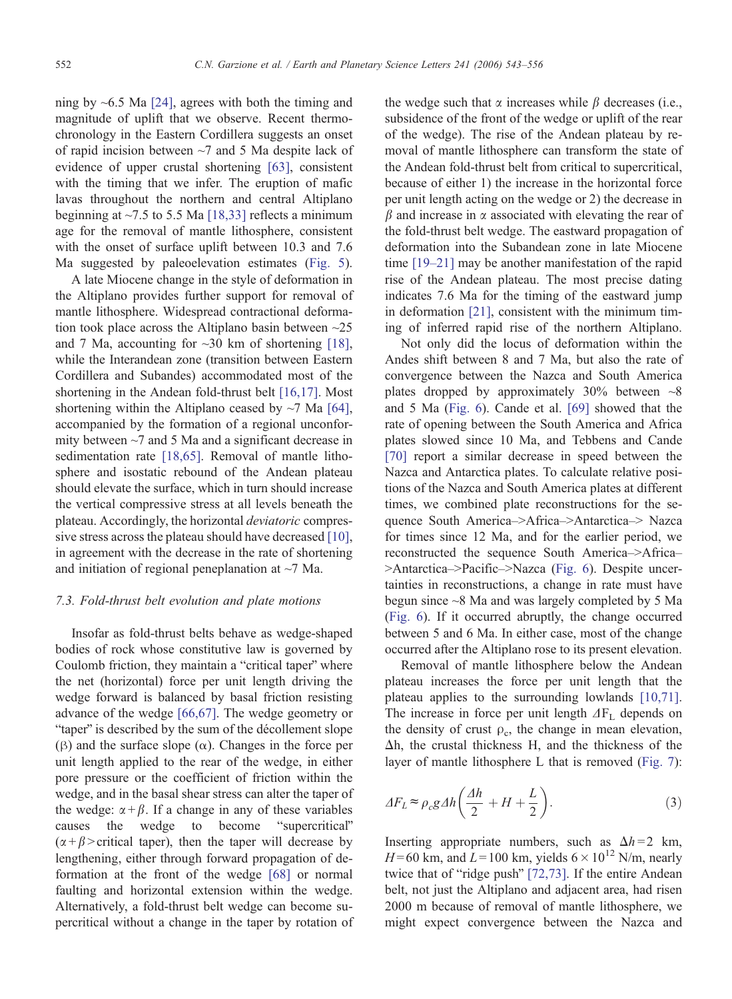ning by  $\sim$  6.5 Ma [\[24\],](#page-12-0) agrees with both the timing and magnitude of uplift that we observe. Recent thermochronology in the Eastern Cordillera suggests an onset of rapid incision between ~7 and 5 Ma despite lack of evidence of upper crustal shortening [\[63\],](#page-13-0) consistent with the timing that we infer. The eruption of mafic lavas throughout the northern and central Altiplano beginning at  $\sim$ 7.5 to 5.5 Ma [\[18,33\]](#page-11-0) reflects a minimum age for the removal of mantle lithosphere, consistent with the onset of surface uplift between 10.3 and 7.6 Ma suggested by paleoelevation estimates [\(Fig. 5](#page-7-0)).

A late Miocene change in the style of deformation in the Altiplano provides further support for removal of mantle lithosphere. Widespread contractional deformation took place across the Altiplano basin between ~25 and 7 Ma, accounting for  $\sim 30$  km of shortening [\[18\],](#page-11-0) while the Interandean zone (transition between Eastern Cordillera and Subandes) accommodated most of the shortening in the Andean fold-thrust belt [\[16,17\]](#page-11-0). Most shortening within the Altiplano ceased by  $\sim$ 7 Ma [\[64\],](#page-13-0) accompanied by the formation of a regional unconformity between ~7 and 5 Ma and a significant decrease in sedimentation rate [\[18,65\].](#page-11-0) Removal of mantle lithosphere and isostatic rebound of the Andean plateau should elevate the surface, which in turn should increase the vertical compressive stress at all levels beneath the plateau. Accordingly, the horizontal deviatoric compressive stress across the plateau should have decreased [\[10\]](#page-11-0), in agreement with the decrease in the rate of shortening and initiation of regional peneplanation at  $\sim$ 7 Ma.

## 7.3. Fold-thrust belt evolution and plate motions

Insofar as fold-thrust belts behave as wedge-shaped bodies of rock whose constitutive law is governed by Coulomb friction, they maintain a "critical taper" where the net (horizontal) force per unit length driving the wedge forward is balanced by basal friction resisting advance of the wedge [\[66,67\].](#page-13-0) The wedge geometry or "taper" is described by the sum of the décollement slope ( $\beta$ ) and the surface slope ( $\alpha$ ). Changes in the force per unit length applied to the rear of the wedge, in either pore pressure or the coefficient of friction within the wedge, and in the basal shear stress can alter the taper of the wedge:  $\alpha + \beta$ . If a change in any of these variables causes the wedge to become "supercritical"  $(\alpha + \beta)$  > critical taper), then the taper will decrease by lengthening, either through forward propagation of deformation at the front of the wedge [\[68\]](#page-13-0) or normal faulting and horizontal extension within the wedge. Alternatively, a fold-thrust belt wedge can become supercritical without a change in the taper by rotation of the wedge such that  $\alpha$  increases while  $\beta$  decreases (i.e., subsidence of the front of the wedge or uplift of the rear of the wedge). The rise of the Andean plateau by removal of mantle lithosphere can transform the state of the Andean fold-thrust belt from critical to supercritical, because of either 1) the increase in the horizontal force per unit length acting on the wedge or 2) the decrease in  $\beta$  and increase in  $\alpha$  associated with elevating the rear of the fold-thrust belt wedge. The eastward propagation of deformation into the Subandean zone in late Miocene time [\[19–21\]](#page-11-0) may be another manifestation of the rapid rise of the Andean plateau. The most precise dating indicates 7.6 Ma for the timing of the eastward jump in deformation [\[21\],](#page-12-0) consistent with the minimum timing of inferred rapid rise of the northern Altiplano.

Not only did the locus of deformation within the Andes shift between 8 and 7 Ma, but also the rate of convergence between the Nazca and South America plates dropped by approximately  $30\%$  between  $\sim$ 8 and 5 Ma ([Fig. 6\)](#page-10-0). Cande et al. [\[69\]](#page-13-0) showed that the rate of opening between the South America and Africa plates slowed since 10 Ma, and Tebbens and Cande [\[70\]](#page-13-0) report a similar decrease in speed between the Nazca and Antarctica plates. To calculate relative positions of the Nazca and South America plates at different times, we combined plate reconstructions for the sequence South America–>Africa–>Antarctica–> Nazca for times since 12 Ma, and for the earlier period, we reconstructed the sequence South America–>Africa– >Antarctica->Pacific->Nazca ([Fig. 6\)](#page-10-0). Despite uncertainties in reconstructions, a change in rate must have begun since ~8 Ma and was largely completed by 5 Ma ([Fig. 6\)](#page-10-0). If it occurred abruptly, the change occurred between 5 and 6 Ma. In either case, most of the change occurred after the Altiplano rose to its present elevation.

Removal of mantle lithosphere below the Andean plateau increases the force per unit length that the plateau applies to the surrounding lowlands [\[10,71\].](#page-11-0) The increase in force per unit length  $\Delta F_L$  depends on the density of crust  $\rho_c$ , the change in mean elevation,  $\Delta h$ , the crustal thickness H, and the thickness of the layer of mantle lithosphere L that is removed ([Fig. 7\)](#page-10-0):

$$
\Delta F_L \approx \rho_c g \Delta h \left( \frac{\Delta h}{2} + H + \frac{L}{2} \right). \tag{3}
$$

Inserting appropriate numbers, such as  $\Delta h = 2$  km,  $H = 60$  km, and  $L = 100$  km, yields  $6 \times 10^{12}$  N/m, nearly twice that of "ridge push"  $[72,73]$ . If the entire Andean belt, not just the Altiplano and adjacent area, had risen 2000 m because of removal of mantle lithosphere, we might expect convergence between the Nazca and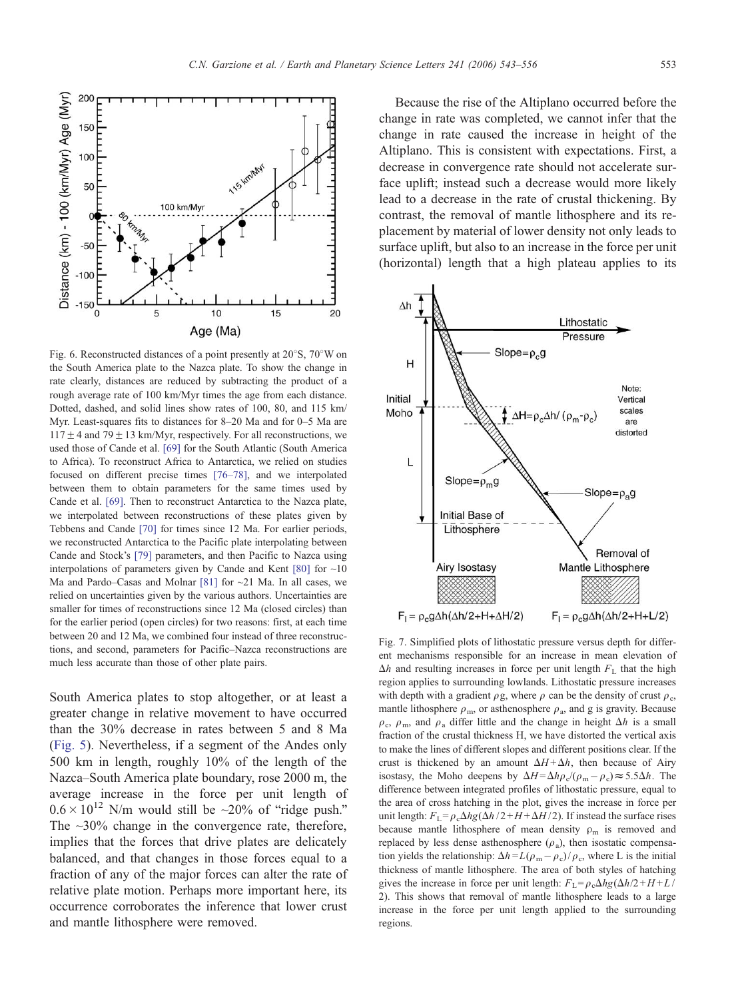<span id="page-10-0"></span>

Fig. 6. Reconstructed distances of a point presently at  $20^{\circ}$ S,  $70^{\circ}$ W on the South America plate to the Nazca plate. To show the change in rate clearly, distances are reduced by subtracting the product of a rough average rate of 100 km/Myr times the age from each distance. Dotted, dashed, and solid lines show rates of 100, 80, and 115 km/ Myr. Least-squares fits to distances for 8–20 Ma and for 0–5 Ma are  $117 \pm 4$  and 79  $\pm$  13 km/Myr, respectively. For all reconstructions, we used those of Cande et al. [\[69\]](#page-13-0) for the South Atlantic (South America to Africa). To reconstruct Africa to Antarctica, we relied on studies focused on different precise times [\[76–78\],](#page-13-0) and we interpolated between them to obtain parameters for the same times used by Cande et al. [\[69\].](#page-13-0) Then to reconstruct Antarctica to the Nazca plate, we interpolated between reconstructions of these plates given by Tebbens and Cande [\[70\]](#page-13-0) for times since 12 Ma. For earlier periods, we reconstructed Antarctica to the Pacific plate interpolating between Cande and Stock's [\[79\]](#page-13-0) parameters, and then Pacific to Nazca using interpolations of parameters given by Cande and Kent [\[80\]](#page-13-0) for  $\sim$ 10 Ma and Pardo–Casas and Molnar [\[81\]](#page-13-0) for ~21 Ma. In all cases, we relied on uncertainties given by the various authors. Uncertainties are smaller for times of reconstructions since 12 Ma (closed circles) than for the earlier period (open circles) for two reasons: first, at each time between 20 and 12 Ma, we combined four instead of three reconstructions, and second, parameters for Pacific–Nazca reconstructions are much less accurate than those of other plate pairs.

South America plates to stop altogether, or at least a greater change in relative movement to have occurred than the 30% decrease in rates between 5 and 8 Ma ([Fig. 5\)](#page-7-0). Nevertheless, if a segment of the Andes only 500 km in length, roughly 10% of the length of the Nazca–South America plate boundary, rose 2000 m, the average increase in the force per unit length of  $0.6 \times 10^{12}$  N/m would still be ~20% of "ridge push." The  $\sim$ 30% change in the convergence rate, therefore, implies that the forces that drive plates are delicately balanced, and that changes in those forces equal to a fraction of any of the major forces can alter the rate of relative plate motion. Perhaps more important here, its occurrence corroborates the inference that lower crust and mantle lithosphere were removed.

Because the rise of the Altiplano occurred before the change in rate was completed, we cannot infer that the change in rate caused the increase in height of the Altiplano. This is consistent with expectations. First, a decrease in convergence rate should not accelerate surface uplift; instead such a decrease would more likely lead to a decrease in the rate of crustal thickening. By contrast, the removal of mantle lithosphere and its replacement by material of lower density not only leads to surface uplift, but also to an increase in the force per unit (horizontal) length that a high plateau applies to its



Fig. 7. Simplified plots of lithostatic pressure versus depth for different mechanisms responsible for an increase in mean elevation of  $\Delta h$  and resulting increases in force per unit length  $F<sub>L</sub>$  that the high region applies to surrounding lowlands. Lithostatic pressure increases with depth with a gradient  $\rho$ g, where  $\rho$  can be the density of crust  $\rho_c$ , mantle lithosphere  $\rho_{\rm m}$ , or asthenosphere  $\rho_{\rm a}$ , and g is gravity. Because  $\rho_c$ ,  $\rho_m$ , and  $\rho_a$  differ little and the change in height  $\Delta h$  is a small fraction of the crustal thickness H, we have distorted the vertical axis to make the lines of different slopes and different positions clear. If the crust is thickened by an amount  $\Delta H + \Delta h$ , then because of Airy isostasy, the Moho deepens by  $\Delta H = \Delta h \rho_c/(\rho_m - \rho_c) \approx 5.5 \Delta h$ . The difference between integrated profiles of lithostatic pressure, equal to the area of cross hatching in the plot, gives the increase in force per unit length:  $F_{\text{I}}=\rho_c\Delta h g(\Delta h / 2 + H + \Delta H / 2)$ . If instead the surface rises because mantle lithosphere of mean density  $\rho_m$  is removed and replaced by less dense asthenosphere  $(\rho_a)$ , then isostatic compensation yields the relationship:  $\Delta h = L(\rho_m - \rho_c)/\rho_c$ , where L is the initial thickness of mantle lithosphere. The area of both styles of hatching gives the increase in force per unit length:  $F_L = \rho_c \Delta h g(\Delta h/2 + H + L)$ 2). This shows that removal of mantle lithosphere leads to a large increase in the force per unit length applied to the surrounding regions.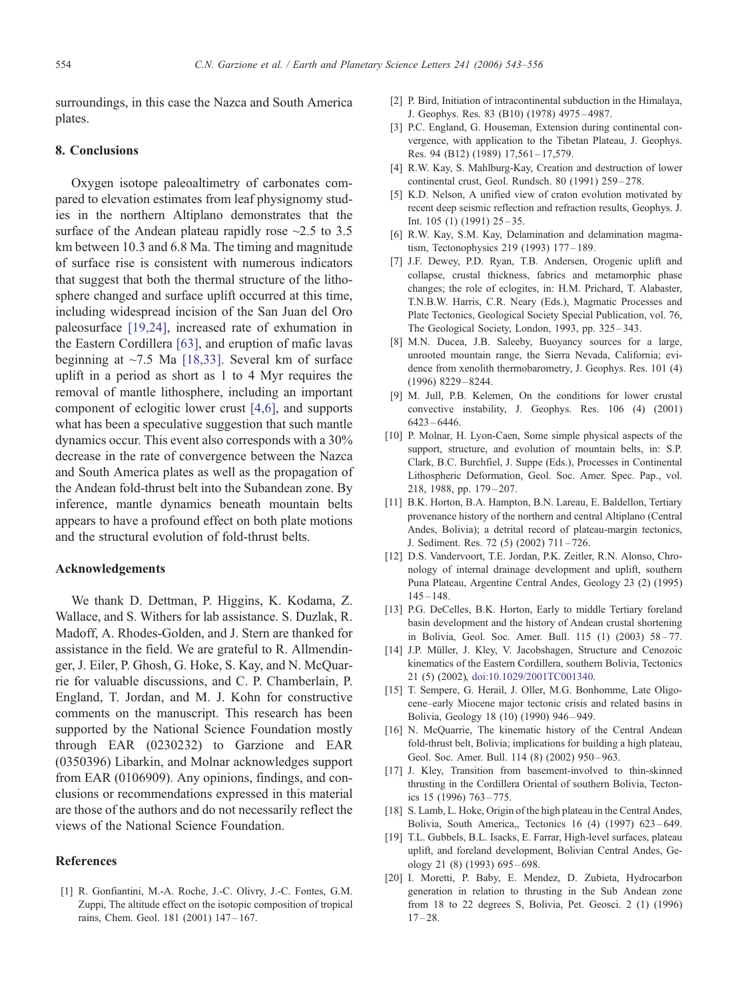<span id="page-11-0"></span>surroundings, in this case the Nazca and South America plates.

#### 8. Conclusions

Oxygen isotope paleoaltimetry of carbonates compared to elevation estimates from leaf physignomy studies in the northern Altiplano demonstrates that the surface of the Andean plateau rapidly rose  $\sim$ 2.5 to 3.5 km between 10.3 and 6.8 Ma. The timing and magnitude of surface rise is consistent with numerous indicators that suggest that both the thermal structure of the lithosphere changed and surface uplift occurred at this time, including widespread incision of the San Juan del Oro paleosurface [19,24], increased rate of exhumation in the Eastern Cordillera [\[63\],](#page-13-0) and eruption of mafic lavas beginning at  $\sim$ 7.5 Ma [18,33]. Several km of surface uplift in a period as short as 1 to 4 Myr requires the removal of mantle lithosphere, including an important component of eclogitic lower crust [4,6], and supports what has been a speculative suggestion that such mantle dynamics occur. This event also corresponds with a 30% decrease in the rate of convergence between the Nazca and South America plates as well as the propagation of the Andean fold-thrust belt into the Subandean zone. By inference, mantle dynamics beneath mountain belts appears to have a profound effect on both plate motions and the structural evolution of fold-thrust belts.

# Acknowledgements

We thank D. Dettman, P. Higgins, K. Kodama, Z. Wallace, and S. Withers for lab assistance. S. Duzlak, R. Madoff, A. Rhodes-Golden, and J. Stern are thanked for assistance in the field. We are grateful to R. Allmendinger, J. Eiler, P. Ghosh, G. Hoke, S. Kay, and N. McQuarrie for valuable discussions, and C. P. Chamberlain, P. England, T. Jordan, and M. J. Kohn for constructive comments on the manuscript. This research has been supported by the National Science Foundation mostly through EAR (0230232) to Garzione and EAR (0350396) Libarkin, and Molnar acknowledges support from EAR (0106909). Any opinions, findings, and conclusions or recommendations expressed in this material are those of the authors and do not necessarily reflect the views of the National Science Foundation.

# References

[1] R. Gonfiantini, M.-A. Roche, J.-C. Olivry, J.-C. Fontes, G.M. Zuppi, The altitude effect on the isotopic composition of tropical rains, Chem. Geol. 181 (2001) 147 – 167.

- [2] P. Bird, Initiation of intracontinental subduction in the Himalaya, J. Geophys. Res. 83 (B10) (1978) 4975 – 4987.
- [3] P.C. England, G. Houseman, Extension during continental convergence, with application to the Tibetan Plateau, J. Geophys. Res. 94 (B12) (1989) 17,561-17,579.
- [4] R.W. Kay, S. Mahlburg-Kay, Creation and destruction of lower continental crust, Geol. Rundsch. 80 (1991) 259 – 278.
- [5] K.D. Nelson, A unified view of craton evolution motivated by recent deep seismic reflection and refraction results, Geophys. J. Int. 105 (1) (1991) 25 – 35.
- [6] R.W. Kay, S.M. Kay, Delamination and delamination magmatism, Tectonophysics 219 (1993) 177 – 189.
- [7] J.F. Dewey, P.D. Ryan, T.B. Andersen, Orogenic uplift and collapse, crustal thickness, fabrics and metamorphic phase changes; the role of eclogites, in: H.M. Prichard, T. Alabaster, T.N.B.W. Harris, C.R. Neary (Eds.), Magmatic Processes and Plate Tectonics, Geological Society Special Publication, vol. 76, The Geological Society, London, 1993, pp. 325–343.
- [8] M.N. Ducea, J.B. Saleeby, Buoyancy sources for a large, unrooted mountain range, the Sierra Nevada, California; evidence from xenolith thermobarometry, J. Geophys. Res. 101 (4) (1996) 8229 – 8244.
- [9] M. Jull, P.B. Kelemen, On the conditions for lower crustal convective instability, J. Geophys. Res. 106 (4) (2001) 6423 – 6446.
- [10] P. Molnar, H. Lyon-Caen, Some simple physical aspects of the support, structure, and evolution of mountain belts, in: S.P. Clark, B.C. Burchfiel, J. Suppe (Eds.), Processes in Continental Lithospheric Deformation, Geol. Soc. Amer. Spec. Pap., vol. 218, 1988, pp. 179-207.
- [11] B.K. Horton, B.A. Hampton, B.N. Lareau, E. Baldellon, Tertiary provenance history of the northern and central Altiplano (Central Andes, Bolivia); a detrital record of plateau-margin tectonics, J. Sediment. Res. 72 (5) (2002) 711 – 726.
- [12] D.S. Vandervoort, T.E. Jordan, P.K. Zeitler, R.N. Alonso, Chronology of internal drainage development and uplift, southern Puna Plateau, Argentine Central Andes, Geology 23 (2) (1995)  $145 - 148.$
- [13] P.G. DeCelles, B.K. Horton, Early to middle Tertiary foreland basin development and the history of Andean crustal shortening in Bolivia, Geol. Soc. Amer. Bull. 115 (1) (2003) 58-77.
- [14] J.P. Müller, J. Kley, V. Jacobshagen, Structure and Cenozoic kinematics of the Eastern Cordillera, southern Bolivia, Tectonics 21 (5) (2002), doi:10.1029/2001TC001340.
- [15] T. Sempere, G. Herail, J. Oller, M.G. Bonhomme, Late Oligocene–early Miocene major tectonic crisis and related basins in Bolivia, Geology 18 (10) (1990) 946 – 949.
- [16] N. McQuarrie, The kinematic history of the Central Andean fold-thrust belt, Bolivia; implications for building a high plateau, Geol. Soc. Amer. Bull. 114 (8) (2002) 950-963.
- [17] J. Kley, Transition from basement-involved to thin-skinned thrusting in the Cordillera Oriental of southern Bolivia, Tectonics 15 (1996) 763 – 775.
- [18] S. Lamb, L. Hoke, Origin of the high plateau in the Central Andes, Bolivia, South America,, Tectonics 16 (4) (1997) 623 – 649.
- [19] T.L. Gubbels, B.L. Isacks, E. Farrar, High-level surfaces, plateau uplift, and foreland development, Bolivian Central Andes, Geology 21 (8) (1993) 695 – 698.
- [20] I. Moretti, P. Baby, E. Mendez, D. Zubieta, Hydrocarbon generation in relation to thrusting in the Sub Andean zone from 18 to 22 degrees S, Bolivia, Pet. Geosci. 2 (1) (1996)  $17 - 28.$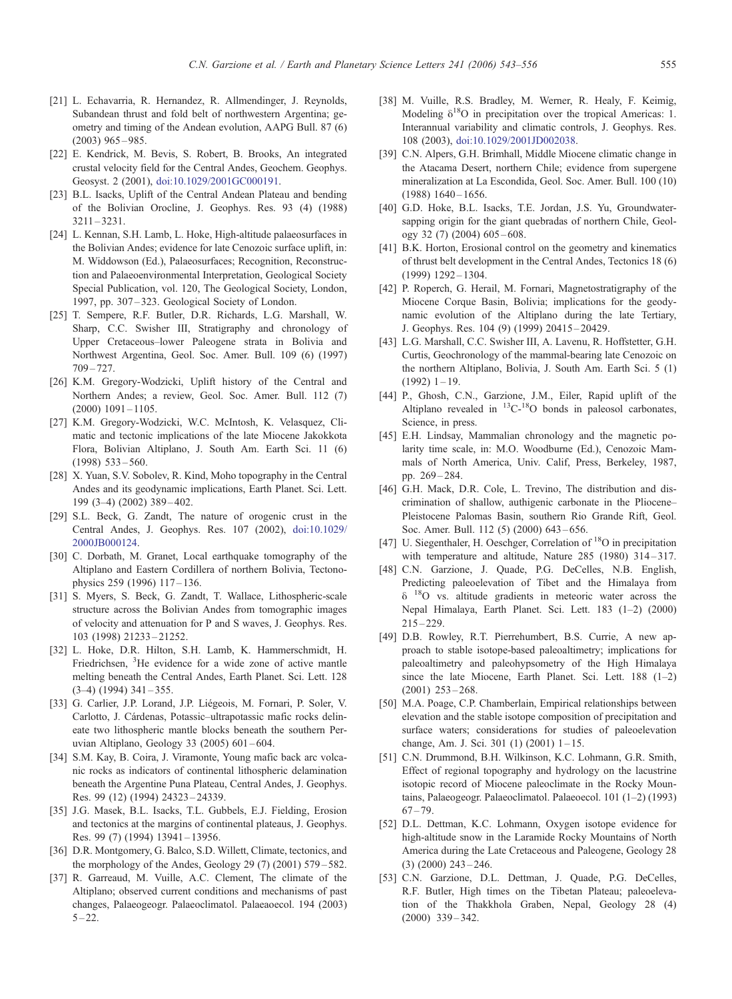- <span id="page-12-0"></span>[21] L. Echavarria, R. Hernandez, R. Allmendinger, J. Reynolds, Subandean thrust and fold belt of northwestern Argentina; geometry and timing of the Andean evolution, AAPG Bull. 87 (6)  $(2003)$  965 – 985.
- [22] E. Kendrick, M. Bevis, S. Robert, B. Brooks, An integrated crustal velocity field for the Central Andes, Geochem. Geophys. Geosyst. 2 (2001), doi:10.1029/2001GC000191.
- [23] B.L. Isacks, Uplift of the Central Andean Plateau and bending of the Bolivian Orocline, J. Geophys. Res. 93 (4) (1988) 3211 – 3231.
- [24] L. Kennan, S.H. Lamb, L. Hoke, High-altitude palaeosurfaces in the Bolivian Andes; evidence for late Cenozoic surface uplift, in: M. Widdowson (Ed.), Palaeosurfaces; Recognition, Reconstruction and Palaeoenvironmental Interpretation, Geological Society Special Publication, vol. 120, The Geological Society, London, 1997, pp. 307 – 323. Geological Society of London.
- [25] T. Sempere, R.F. Butler, D.R. Richards, L.G. Marshall, W. Sharp, C.C. Swisher III, Stratigraphy and chronology of Upper Cretaceous–lower Paleogene strata in Bolivia and Northwest Argentina, Geol. Soc. Amer. Bull. 109 (6) (1997)  $709 - 727$ .
- [26] K.M. Gregory-Wodzicki, Uplift history of the Central and Northern Andes; a review, Geol. Soc. Amer. Bull. 112 (7)  $(2000)$  1091 – 1105.
- [27] K.M. Gregory-Wodzicki, W.C. McIntosh, K. Velasquez, Climatic and tectonic implications of the late Miocene Jakokkota Flora, Bolivian Altiplano, J. South Am. Earth Sci. 11 (6)  $(1998)$  533 – 560.
- [28] X. Yuan, S.V. Sobolev, R. Kind, Moho topography in the Central Andes and its geodynamic implications, Earth Planet. Sci. Lett. 199 (3–4) (2002) 389 – 402.
- [29] S.L. Beck, G. Zandt, The nature of orogenic crust in the Central Andes, J. Geophys. Res. 107 (2002), doi:10.1029/ 2000JB000124.
- [30] C. Dorbath, M. Granet, Local earthquake tomography of the Altiplano and Eastern Cordillera of northern Bolivia, Tectonophysics 259 (1996) 117-136.
- [31] S. Myers, S. Beck, G. Zandt, T. Wallace, Lithospheric-scale structure across the Bolivian Andes from tomographic images of velocity and attenuation for P and S waves, J. Geophys. Res. 103 (1998) 21233 – 21252.
- [32] L. Hoke, D.R. Hilton, S.H. Lamb, K. Hammerschmidt, H. Friedrichsen, <sup>3</sup>He evidence for a wide zone of active mantle melting beneath the Central Andes, Earth Planet. Sci. Lett. 128  $(3-4)$   $(1994)$   $341-355$ .
- [33] G. Carlier, J.P. Lorand, J.P. Liégeois, M. Fornari, P. Soler, V. Carlotto, J. Cárdenas, Potassic–ultrapotassic mafic rocks delineate two lithospheric mantle blocks beneath the southern Peruvian Altiplano, Geology 33 (2005) 601 – 604.
- [34] S.M. Kay, B. Coira, J. Viramonte, Young mafic back arc volcanic rocks as indicators of continental lithospheric delamination beneath the Argentine Puna Plateau, Central Andes, J. Geophys. Res. 99 (12) (1994) 24323 – 24339.
- [35] J.G. Masek, B.L. Isacks, T.L. Gubbels, E.J. Fielding, Erosion and tectonics at the margins of continental plateaus, J. Geophys. Res. 99 (7) (1994) 13941-13956.
- [36] D.R. Montgomery, G. Balco, S.D. Willett, Climate, tectonics, and the morphology of the Andes, Geology 29 (7) (2001) 579 – 582.
- [37] R. Garreaud, M. Vuille, A.C. Clement, The climate of the Altiplano; observed current conditions and mechanisms of past changes, Palaeogeogr. Palaeoclimatol. Palaeaoecol. 194 (2003)  $5 - 22.$
- [38] M. Vuille, R.S. Bradley, M. Werner, R. Healy, F. Keimig, Modeling  $\delta^{18}O$  in precipitation over the tropical Americas: 1. Interannual variability and climatic controls, J. Geophys. Res. 108 (2003), doi:10.1029/2001JD002038.
- [39] C.N. Alpers, G.H. Brimhall, Middle Miocene climatic change in the Atacama Desert, northern Chile; evidence from supergene mineralization at La Escondida, Geol. Soc. Amer. Bull. 100 (10)  $(1988) 1640 - 1656.$
- [40] G.D. Hoke, B.L. Isacks, T.E. Jordan, J.S. Yu, Groundwatersapping origin for the giant quebradas of northern Chile, Geology 32 (7) (2004) 605 – 608.
- [41] B.K. Horton, Erosional control on the geometry and kinematics of thrust belt development in the Central Andes, Tectonics 18 (6) (1999) 1292 – 1304.
- [42] P. Roperch, G. Herail, M. Fornari, Magnetostratigraphy of the Miocene Corque Basin, Bolivia; implications for the geodynamic evolution of the Altiplano during the late Tertiary, J. Geophys. Res. 104 (9) (1999) 20415 – 20429.
- [43] L.G. Marshall, C.C. Swisher III, A. Lavenu, R. Hoffstetter, G.H. Curtis, Geochronology of the mammal-bearing late Cenozoic on the northern Altiplano, Bolivia, J. South Am. Earth Sci. 5 (1)  $(1992)$  1 – 19.
- [44] P., Ghosh, C.N., Garzione, J.M., Eiler, Rapid uplift of the Altiplano revealed in <sup>13</sup>C-<sup>18</sup>O bonds in paleosol carbonates, Science, in press.
- [45] E.H. Lindsay, Mammalian chronology and the magnetic polarity time scale, in: M.O. Woodburne (Ed.), Cenozoic Mammals of North America, Univ. Calif, Press, Berkeley, 1987, pp. 269 – 284.
- [46] G.H. Mack, D.R. Cole, L. Trevino, The distribution and discrimination of shallow, authigenic carbonate in the Pliocene– Pleistocene Palomas Basin, southern Rio Grande Rift, Geol. Soc. Amer. Bull. 112 (5) (2000) 643-656.
- [47] U. Siegenthaler, H. Oeschger, Correlation of <sup>18</sup>O in precipitation with temperature and altitude, Nature 285 (1980) 314-317.
- [48] C.N. Garzione, J. Quade, P.G. DeCelles, N.B. English, Predicting paleoelevation of Tibet and the Himalaya from  $\delta$  <sup>18</sup>O vs. altitude gradients in meteoric water across the Nepal Himalaya, Earth Planet. Sci. Lett. 183 (1–2) (2000)  $215 - 229.$
- [49] D.B. Rowley, R.T. Pierrehumbert, B.S. Currie, A new approach to stable isotope-based paleoaltimetry; implications for paleoaltimetry and paleohypsometry of the High Himalaya since the late Miocene, Earth Planet. Sci. Lett. 188 (1-2)  $(2001)$   $253 - 268$ .
- [50] M.A. Poage, C.P. Chamberlain, Empirical relationships between elevation and the stable isotope composition of precipitation and surface waters; considerations for studies of paleoelevation change, Am. J. Sci. 301 (1) (2001) 1-15.
- [51] C.N. Drummond, B.H. Wilkinson, K.C. Lohmann, G.R. Smith, Effect of regional topography and hydrology on the lacustrine isotopic record of Miocene paleoclimate in the Rocky Mountains, Palaeogeogr. Palaeoclimatol. Palaeoecol. 101 (1–2) (1993)  $67 - 79.$
- [52] D.L. Dettman, K.C. Lohmann, Oxygen isotope evidence for high-altitude snow in the Laramide Rocky Mountains of North America during the Late Cretaceous and Paleogene, Geology 28  $(3)$   $(2000)$   $243 - 246$ .
- [53] C.N. Garzione, D.L. Dettman, J. Quade, P.G. DeCelles, R.F. Butler, High times on the Tibetan Plateau; paleoelevation of the Thakkhola Graben, Nepal, Geology 28 (4) (2000) 339 – 342.